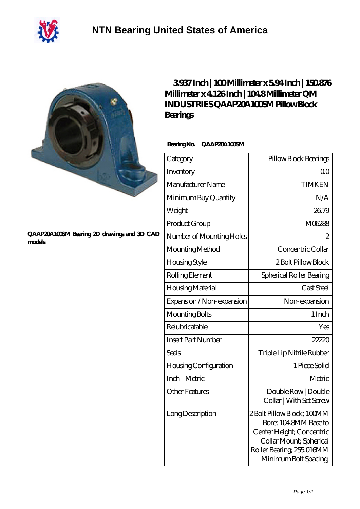

## **[QAAP20A100SM Bearing 2D drawings and 3D CAD](https://m.40ozbounce-tube.net/pic-266543.html) [models](https://m.40ozbounce-tube.net/pic-266543.html)**

## **[3.937 Inch | 100 Millimeter x 5.94 Inch | 150.876](https://m.40ozbounce-tube.net/bb-266543-qm-industries-qaap20a100sm-pillow-block-bearings.html) [Millimeter x 4.126 Inch | 104.8 Millimeter QM](https://m.40ozbounce-tube.net/bb-266543-qm-industries-qaap20a100sm-pillow-block-bearings.html) [INDUSTRIES QAAP20A100SM Pillow Block](https://m.40ozbounce-tube.net/bb-266543-qm-industries-qaap20a100sm-pillow-block-bearings.html) [Bearings](https://m.40ozbounce-tube.net/bb-266543-qm-industries-qaap20a100sm-pillow-block-bearings.html)**

## **Bearing No. QAAP20A100SM**

| Category                     | Pillow Block Bearings                                                                                                                                            |
|------------------------------|------------------------------------------------------------------------------------------------------------------------------------------------------------------|
| Inventory                    | 0 <sup>0</sup>                                                                                                                                                   |
| Manufacturer Name            | <b>TIMKEN</b>                                                                                                                                                    |
| Minimum Buy Quantity         | N/A                                                                                                                                                              |
| Weight                       | 26.79                                                                                                                                                            |
| Product Group                | M06288                                                                                                                                                           |
| Number of Mounting Holes     | 2                                                                                                                                                                |
| Mounting Method              | Concentric Collar                                                                                                                                                |
| Housing Style                | 2 Bolt Pillow Block                                                                                                                                              |
| Rolling Element              | Spherical Roller Bearing                                                                                                                                         |
| Housing Material             | Cast Steel                                                                                                                                                       |
| Expansion / Non-expansion    | Non-expansion                                                                                                                                                    |
| Mounting Bolts               | 1 Inch                                                                                                                                                           |
| Relubricatable               | Yes                                                                                                                                                              |
| <b>Insert Part Number</b>    | 22220                                                                                                                                                            |
| <b>Seals</b>                 | Triple Lip Nitrile Rubber                                                                                                                                        |
| <b>Housing Configuration</b> | 1 Piece Solid                                                                                                                                                    |
| Inch - Metric                | Metric                                                                                                                                                           |
| <b>Other Features</b>        | Double Row   Double<br>Collar   With Set Screw                                                                                                                   |
| Long Description             | 2Bolt Pillow Block; 100MM<br>Bore; 104.8MM Base to<br>Center Height; Concentric<br>Collar Mount; Spherical<br>Roller Bearing, 255.016MM<br>Minimum Bolt Spacing, |